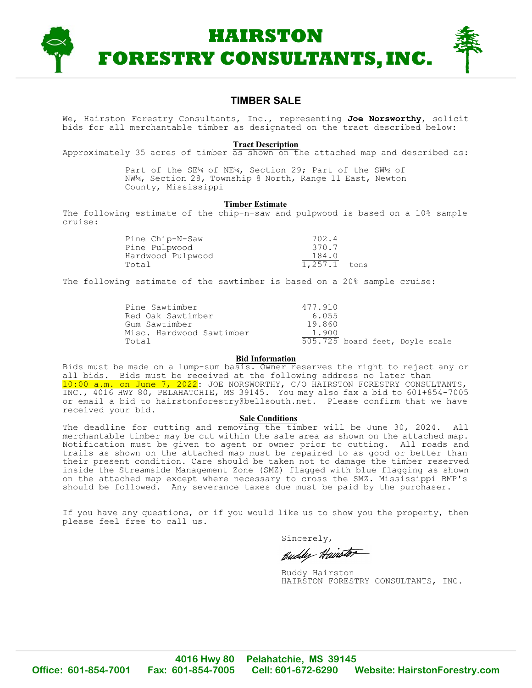

### **TIMBER SALE**

We, Hairston Forestry Consultants, Inc., representing **Joe Norsworthy**, solicit bids for all merchantable timber as designated on the tract described below:

#### **Tract Description**

Approximately 35 acres of timber as shown on the attached map and described as:

Part of the SE¼ of NE¼, Section 29; Part of the SW½ of NW¼, Section 28, Township 8 North, Range 11 East, Newton County, Mississippi

#### **Timber Estimate**

The following estimate of the chip-n-saw and pulpwood is based on a 10% sample cruise:

| Pine Chip-N-Saw   | 702.4        |  |
|-------------------|--------------|--|
| Pine Pulpwood     | 370.7        |  |
| Hardwood Pulpwood | 184.0        |  |
| Total             | 1,257.1 tons |  |

The following estimate of the sawtimber is based on a 20% sample cruise:

| Pine Sawtimber           | 477.910                         |  |  |
|--------------------------|---------------------------------|--|--|
| Red Oak Sawtimber        | 6.055                           |  |  |
| Gum Sawtimber            | 19.860                          |  |  |
| Misc. Hardwood Sawtimber | 1.900                           |  |  |
| Total                    | 505.725 board feet, Doyle scale |  |  |

#### **Bid Information**

Bids must be made on a lump-sum basis. Owner reserves the right to reject any or all bids. Bids must be received at the following address no later than 10:00 a.m. on June 7, 2022: JOE NORSWORTHY, C/O HAIRSTON FORESTRY CONSULTANTS, INC., 4016 HWY 80, PELAHATCHIE, MS 39145. You may also fax a bid to 601+854-7005 or email a bid to hairstonforestry@bellsouth.net. Please confirm that we have received your bid.

#### **Sale Conditions**

The deadline for cutting and removing the timber will be June 30, 2024. All merchantable timber may be cut within the sale area as shown on the attached map. Notification must be given to agent or owner prior to cutting. All roads and trails as shown on the attached map must be repaired to as good or better than their present condition. Care should be taken not to damage the timber reserved inside the Streamside Management Zone (SMZ) flagged with blue flagging as shown on the attached map except where necessary to cross the SMZ. Mississippi BMP's should be followed. Any severance taxes due must be paid by the purchaser.

If you have any questions, or if you would like us to show you the property, then please feel free to call us.

Sincerely,

Euddy Hairston

Buddy Hairston HAIRSTON FORESTRY CONSULTANTS, INC.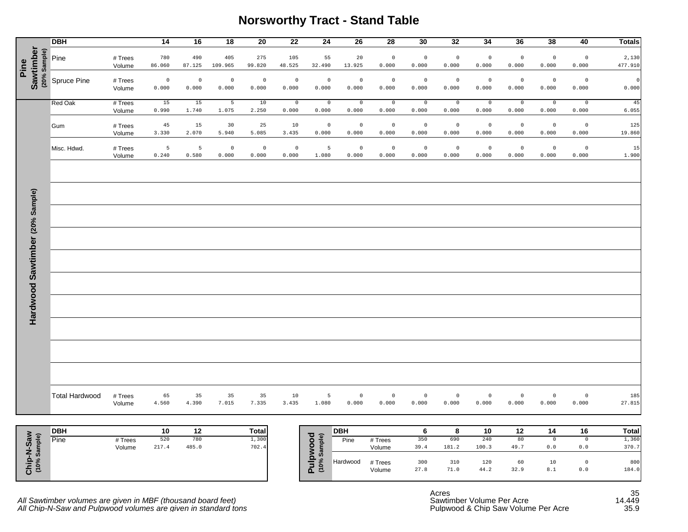### **Norsworthy Tract - Stand Table**

|                                   | <b>DBH</b>            |                   | 14               | 16                   | $\overline{18}$          | 20               | $\overline{22}$      | 24                   | 26                   | 28                   | 30               | 32                      | 34                      | 36                      | 38                   | 40                   | <b>Totals</b>    |
|-----------------------------------|-----------------------|-------------------|------------------|----------------------|--------------------------|------------------|----------------------|----------------------|----------------------|----------------------|------------------|-------------------------|-------------------------|-------------------------|----------------------|----------------------|------------------|
| Sawtimber<br>(20% Sample)<br>Pine | Pine                  | # Trees<br>Volume | 780<br>86.060    | 490<br>87.125        | 405<br>109.965           | 275<br>99.820    | 105<br>48.525        | 55<br>32.490         | 20<br>13.925         | $\mathbb O$<br>0.000 | $\circ$<br>0.000 | $\circ$<br>0.000        | $\mathbb O$<br>0.000    | $\mathbb O$<br>0.000    | $\mathbb O$<br>0.000 | $\circ$<br>0.000     | 2,130<br>477.910 |
|                                   | Spruce Pine           | # Trees<br>Volume | $\circ$<br>0.000 | $\mathbb O$<br>0.000 | $\mathbb O$<br>0.000     | $\circ$<br>0.000 | $\mathbb O$<br>0.000 | $\mathbb O$<br>0.000 | $\mathbb O$<br>0.000 | $\mathbb O$<br>0.000 | $\circ$<br>0.000 | $\mathbb O$<br>0.000    | $\mathbb O$<br>0.000    | $\mathbb O$<br>0.000    | $\mathbb O$<br>0.000 | $\mathsf 0$<br>0.000 | $\circ$<br>0.000 |
|                                   | Red Oak               | # Trees<br>Volume | 15<br>0.990      | 15<br>1.740          | $5\overline{5}$<br>1.075 | 10<br>2.250      | $\mathbb O$<br>0.000 | $\circ$<br>0.000     | $\mathbb O$<br>0.000 | $\circ$<br>0.000     | $\circ$<br>0.000 | $\overline{0}$<br>0.000 | $\circ$<br>0.000        | $\overline{0}$<br>0.000 | $\mathbb O$<br>0.000 | $\circ$<br>0.000     | 45<br>6.055      |
|                                   | Gum                   | # Trees<br>Volume | 45<br>3.330      | 15<br>2.070          | 30<br>5.940              | 25<br>5.085      | 10<br>3.435          | $\mathbb O$<br>0.000 | $\mathbb O$<br>0.000 | $\mathbb O$<br>0.000 | $\circ$<br>0.000 | $\circ$<br>0.000        | $\mathbb O$<br>0.000    | $\mathbb O$<br>0.000    | $\,$ 0<br>0.000      | $\mathbb O$<br>0.000 | 125<br>19.860    |
|                                   | Misc. Hdwd.           | # Trees<br>Volume | 5<br>0.240       | 5<br>0.580           | $\overline{0}$<br>0.000  | $\circ$<br>0.000 | $\mathbb O$<br>0.000 | 5<br>1.080           | $\mathbb O$<br>0.000 | $\circ$<br>0.000     | $\circ$<br>0.000 | $\overline{0}$<br>0.000 | $\overline{0}$<br>0.000 | $\mathbb O$<br>0.000    | $\mathbb O$<br>0.000 | $\circ$<br>0.000     | 15<br>1.900      |
|                                   |                       |                   |                  |                      |                          |                  |                      |                      |                      |                      |                  |                         |                         |                         |                      |                      |                  |
|                                   |                       |                   |                  |                      |                          |                  |                      |                      |                      |                      |                  |                         |                         |                         |                      |                      |                  |
|                                   |                       |                   |                  |                      |                          |                  |                      |                      |                      |                      |                  |                         |                         |                         |                      |                      |                  |
|                                   |                       |                   |                  |                      |                          |                  |                      |                      |                      |                      |                  |                         |                         |                         |                      |                      |                  |
|                                   |                       |                   |                  |                      |                          |                  |                      |                      |                      |                      |                  |                         |                         |                         |                      |                      |                  |
|                                   |                       |                   |                  |                      |                          |                  |                      |                      |                      |                      |                  |                         |                         |                         |                      |                      |                  |
| Hardwood Sawtimber (20% Sample)   |                       |                   |                  |                      |                          |                  |                      |                      |                      |                      |                  |                         |                         |                         |                      |                      |                  |
|                                   |                       |                   |                  |                      |                          |                  |                      |                      |                      |                      |                  |                         |                         |                         |                      |                      |                  |
|                                   |                       |                   |                  |                      |                          |                  |                      |                      |                      |                      |                  |                         |                         |                         |                      |                      |                  |
|                                   |                       |                   |                  |                      |                          |                  |                      |                      |                      |                      |                  |                         |                         |                         |                      |                      |                  |
|                                   | <b>Total Hardwood</b> | # Trees<br>Volume | 65<br>4.560      | 35<br>4.390          | 35<br>7.015              | 35<br>7.335      | 10<br>3.435          | 5<br>1.080           | $\circ$<br>0.000     | $\circ$<br>0.000     | $\circ$<br>0.000 | $\overline{0}$<br>0.000 | $\circ$<br>0.000        | $\circ$<br>0.000        | $\circ$<br>0.000     | $\circ$<br>0.000     | 185<br>27.815    |

|                | <b>DBH</b> |         | 10    | 12    | <b>Total</b> |
|----------------|------------|---------|-------|-------|--------------|
| (eks           | Pine       | # Trees | 520   | 780   | 1,300        |
| ဖိ<br>es<br>Fi |            | Volume  | 217.4 | 485.0 | 702.4        |

| <b>DBH</b> |         | 10    | 12    | <b>Total</b> | ত ৯    | <b>DBH</b>                 |         |      |       | 10    | $12 \,$ | 14  | 16  | Total |
|------------|---------|-------|-------|--------------|--------|----------------------------|---------|------|-------|-------|---------|-----|-----|-------|
| Pine       | # Trees | 520   | 780   | 1,300        |        | Pine<br>ᇗ                  | # Trees | 350  | 690   | 240   | 80      |     |     | 1,360 |
|            | Volume  | 217.4 | 485.0 | 702.4        |        |                            | Volume  | 39.4 | 181.2 | 100.3 | 49.7    | 0.0 | 0.0 | 370.7 |
|            |         |       |       |              |        | $\boldsymbol{\omega}$<br>ທ |         |      |       |       |         |     |     |       |
|            |         |       |       |              | -<br>- | Hardwood                   | # Trees | 300  | 310   | 120   | 60      | 10  |     | 800   |
|            |         |       |       |              | ΔΞ     |                            | Volume  | 27.8 | 71.0  | 44.2  | 32.9    | 8.1 | 0.0 | 184.0 |
|            |         |       |       |              |        |                            |         |      |       |       |         |     |     |       |

*All Sawtimber volumes are given in MBF (thousand board feet)* Sawtimber Volume Per Acre and the state of 14.449 *All Chip-N-Saw and Pulpwood volumes are given in standard tons* Pulpwood & Chip Saw Volume Per Acre 35.9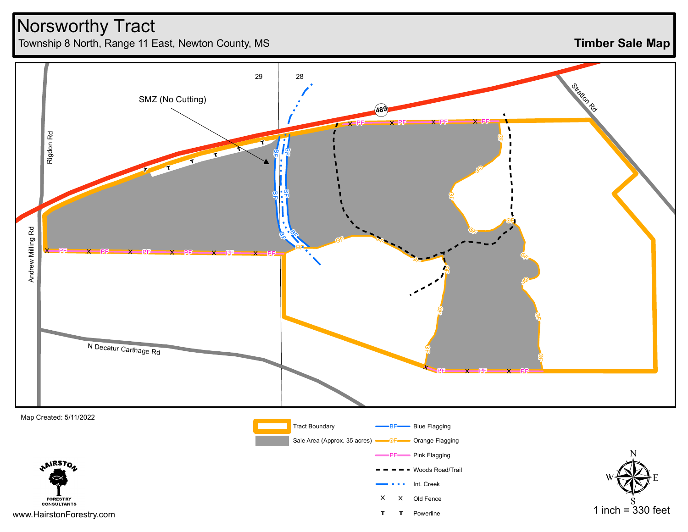## Norsworthy Tract

Township 8 North, Range 11 East, Newton County, MS

**Timber Sale Map**



www.HairstonForestry.com